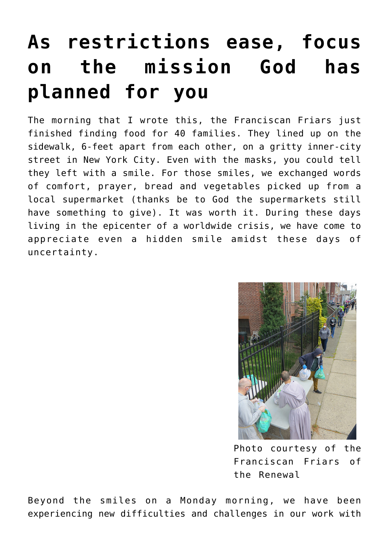# **[As restrictions ease, focus](https://www.osvnews.com/amp/2020/05/29/as-restrictions-ease-focus-on-the-mission-god-has-planned-for-you/) [on the mission God has](https://www.osvnews.com/amp/2020/05/29/as-restrictions-ease-focus-on-the-mission-god-has-planned-for-you/) [planned for you](https://www.osvnews.com/amp/2020/05/29/as-restrictions-ease-focus-on-the-mission-god-has-planned-for-you/)**

The morning that I wrote this, the Franciscan Friars just finished finding food for 40 families. They lined up on the sidewalk, 6-feet apart from each other, on a gritty inner-city street in New York City. Even with the masks, you could tell they left with a smile. For those smiles, we exchanged words of comfort, prayer, bread and vegetables picked up from a local supermarket (thanks be to God the supermarkets still have something to give). It was worth it. During these days living in the epicenter of a worldwide crisis, we have come to appreciate even a hidden smile amidst these days of uncertainty.



Photo courtesy of the Franciscan Friars of the Renewal

Beyond the smiles on a Monday morning, we have been experiencing new difficulties and challenges in our work with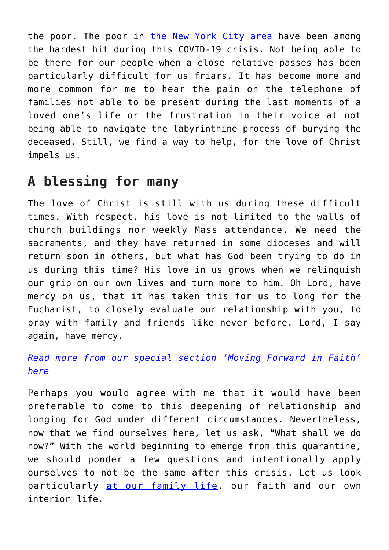the poor. The poor in [the New York City area](https://osvnews.com/2020/05/22/new-york-archdiocese-issues-five-phase-plan-to-gradually-reopen-churches/) have been among the hardest hit during this COVID-19 crisis. Not being able to be there for our people when a close relative passes has been particularly difficult for us friars. It has become more and more common for me to hear the pain on the telephone of families not able to be present during the last moments of a loved one's life or the frustration in their voice at not being able to navigate the labyrinthine process of burying the deceased. Still, we find a way to help, for the love of Christ impels us.

## **A blessing for many**

The love of Christ is still with us during these difficult times. With respect, his love is not limited to the walls of church buildings nor weekly Mass attendance. We need the sacraments, and they have returned in some dioceses and will return soon in others, but what has God been trying to do in us during this time? His love in us grows when we relinquish our grip on our own lives and turn more to him. Oh Lord, have mercy on us, that it has taken this for us to long for the Eucharist, to closely evaluate our relationship with you, to pray with family and friends like never before. Lord, I say again, have mercy.

### *[Read more from our special section 'Moving Forward in Faith'](https://www.osvnews.com/tag/reopening-special-section/) [here](https://www.osvnews.com/tag/reopening-special-section/)*

Perhaps you would agree with me that it would have been preferable to come to this deepening of relationship and longing for God under different circumstances. Nevertheless, now that we find ourselves here, let us ask, "What shall we do now?" With the world beginning to emerge from this quarantine, we should ponder a few questions and intentionally apply ourselves to not be the same after this crisis. Let us look particularly [at our family life](https://osvnews.com/2020/01/31/understanding-the-liturgy-of-the-domestic-church/), our faith and our own interior life.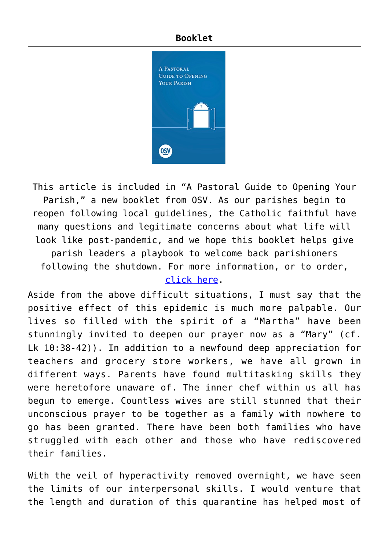#### **Booklet**



This article is included in "A Pastoral Guide to Opening Your Parish," a new booklet from OSV. As our parishes begin to reopen following local guidelines, the Catholic faithful have many questions and legitimate concerns about what life will look like post-pandemic, and we hope this booklet helps give parish leaders a playbook to welcome back parishioners following the shutdown. For more information, or to order, [click here](https://www.osvcatholicbookstore.com/product/a-pastoral-guide-to-opening-your-parish).

Aside from the above difficult situations, I must say that the positive effect of this epidemic is much more palpable. Our lives so filled with the spirit of a "Martha" have been stunningly invited to deepen our prayer now as a "Mary" (cf. Lk 10:38-42)). In addition to a newfound deep appreciation for teachers and grocery store workers, we have all grown in different ways. Parents have found multitasking skills they were heretofore unaware of. The inner chef within us all has begun to emerge. Countless wives are still stunned that their unconscious prayer to be together as a family with nowhere to go has been granted. There have been both families who have struggled with each other and those who have rediscovered their families.

With the veil of hyperactivity removed overnight, we have seen the limits of our interpersonal skills. I would venture that the length and duration of this quarantine has helped most of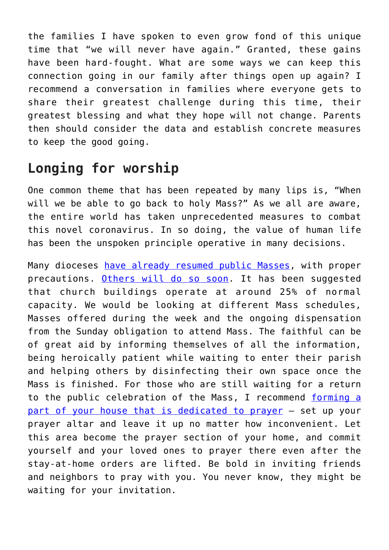the families I have spoken to even grow fond of this unique time that "we will never have again." Granted, these gains have been hard-fought. What are some ways we can keep this connection going in our family after things open up again? I recommend a conversation in families where everyone gets to share their greatest challenge during this time, their greatest blessing and what they hope will not change. Parents then should consider the data and establish concrete measures to keep the good going.

## **Longing for worship**

One common theme that has been repeated by many lips is, "When will we be able to go back to holy Mass?" As we all are aware, the entire world has taken unprecedented measures to combat this novel coronavirus. In so doing, the value of human life has been the unspoken principle operative in many decisions.

Many dioceses [have already resumed public Masses,](https://osvnews.com/2020/05/11/with-safety-guidelines-in-place-several-dioceses-welcome-the-faithful-back-into-parishes/) with proper precautions. [Others will do so soon](https://osvnews.com/2020/05/26/return-of-public-masses-still-uncertain-in-some-of-the-countrys-largest-archdioceses/). It has been suggested that church buildings operate at around 25% of normal capacity. We would be looking at different Mass schedules, Masses offered during the week and the ongoing dispensation from the Sunday obligation to attend Mass. The faithful can be of great aid by informing themselves of all the information, being heroically patient while waiting to enter their parish and helping others by disinfecting their own space once the Mass is finished. For those who are still waiting for a return to the public celebration of the Mass, I recommend [forming a](https://osvnews.com/2020/04/01/how-families-can-make-the-most-of-mass-at-home/) [part of your house that is dedicated to prayer](https://osvnews.com/2020/04/01/how-families-can-make-the-most-of-mass-at-home/) — set up your prayer altar and leave it up no matter how inconvenient. Let this area become the prayer section of your home, and commit yourself and your loved ones to prayer there even after the stay-at-home orders are lifted. Be bold in inviting friends and neighbors to pray with you. You never know, they might be waiting for your invitation.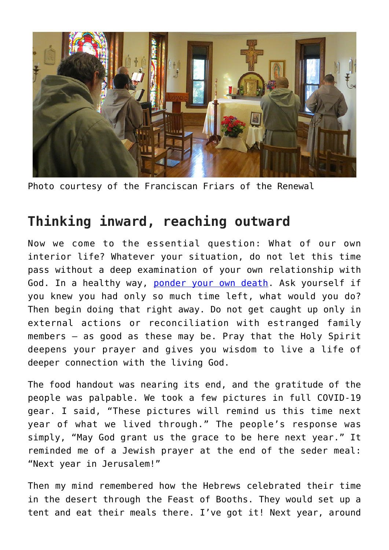

Photo courtesy of the Franciscan Friars of the Renewal

### **Thinking inward, reaching outward**

Now we come to the essential question: What of our own interior life? Whatever your situation, do not let this time pass without a deep examination of your own relationship with God. In a healthy way, [ponder your own death.](https://osvnews.com/2020/03/19/memento-mori-during-a-time-of-panic/) Ask yourself if you knew you had only so much time left, what would you do? Then begin doing that right away. Do not get caught up only in external actions or reconciliation with estranged family members — as good as these may be. Pray that the Holy Spirit deepens your prayer and gives you wisdom to live a life of deeper connection with the living God.

The food handout was nearing its end, and the gratitude of the people was palpable. We took a few pictures in full COVID-19 gear. I said, "These pictures will remind us this time next year of what we lived through." The people's response was simply, "May God grant us the grace to be here next year." It reminded me of a Jewish prayer at the end of the seder meal: "Next year in Jerusalem!"

Then my mind remembered how the Hebrews celebrated their time in the desert through the Feast of Booths. They would set up a tent and eat their meals there. I've got it! Next year, around